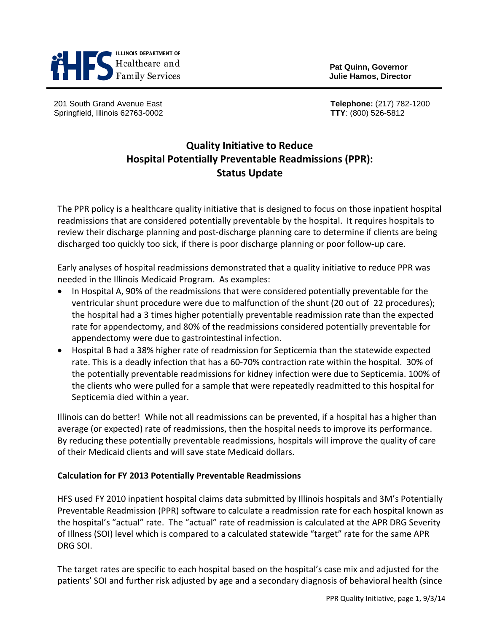

**Pat Quinn, Governor**

201 South Grand Avenue East **Telephone:** (217) 782-1200 Springfield, Illinois 62763-0002 **TTY**: (800) 526-5812

# **Quality Initiative to Reduce Hospital Potentially Preventable Readmissions (PPR): Status Update**

The PPR policy is a healthcare quality initiative that is designed to focus on those inpatient hospital readmissions that are considered potentially preventable by the hospital. It requires hospitals to review their discharge planning and post-discharge planning care to determine if clients are being discharged too quickly too sick, if there is poor discharge planning or poor follow-up care.

Early analyses of hospital readmissions demonstrated that a quality initiative to reduce PPR was needed in the Illinois Medicaid Program. As examples:

- In Hospital A, 90% of the readmissions that were considered potentially preventable for the ventricular shunt procedure were due to malfunction of the shunt (20 out of 22 procedures); the hospital had a 3 times higher potentially preventable readmission rate than the expected rate for appendectomy, and 80% of the readmissions considered potentially preventable for appendectomy were due to gastrointestinal infection.
- Hospital B had a 38% higher rate of readmission for Septicemia than the statewide expected rate. This is a deadly infection that has a 60-70% contraction rate within the hospital. 30% of the potentially preventable readmissions for kidney infection were due to Septicemia. 100% of the clients who were pulled for a sample that were repeatedly readmitted to this hospital for Septicemia died within a year.

Illinois can do better! While not all readmissions can be prevented, if a hospital has a higher than average (or expected) rate of readmissions, then the hospital needs to improve its performance. By reducing these potentially preventable readmissions, hospitals will improve the quality of care of their Medicaid clients and will save state Medicaid dollars.

## **Calculation for FY 2013 Potentially Preventable Readmissions**

HFS used FY 2010 inpatient hospital claims data submitted by Illinois hospitals and 3M's Potentially Preventable Readmission (PPR) software to calculate a readmission rate for each hospital known as the hospital's "actual" rate. The "actual" rate of readmission is calculated at the APR DRG Severity of Illness (SOI) level which is compared to a calculated statewide "target" rate for the same APR DRG SOI.

The target rates are specific to each hospital based on the hospital's case mix and adjusted for the patients' SOI and further risk adjusted by age and a secondary diagnosis of behavioral health (since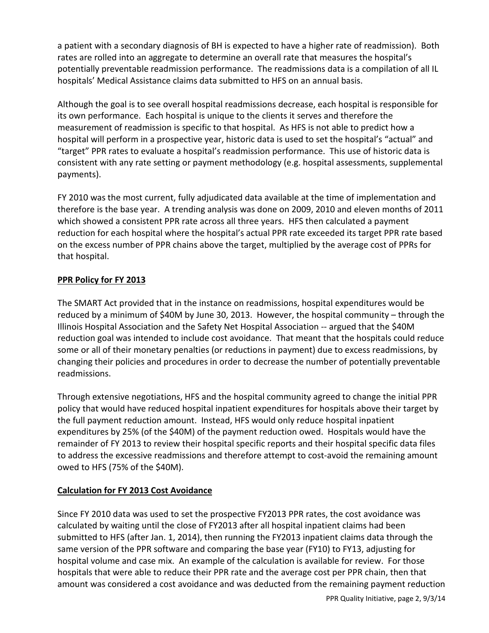a patient with a secondary diagnosis of BH is expected to have a higher rate of readmission). Both rates are rolled into an aggregate to determine an overall rate that measures the hospital's potentially preventable readmission performance. The readmissions data is a compilation of all IL hospitals' Medical Assistance claims data submitted to HFS on an annual basis.

Although the goal is to see overall hospital readmissions decrease, each hospital is responsible for its own performance. Each hospital is unique to the clients it serves and therefore the measurement of readmission is specific to that hospital. As HFS is not able to predict how a hospital will perform in a prospective year, historic data is used to set the hospital's "actual" and "target" PPR rates to evaluate a hospital's readmission performance. This use of historic data is consistent with any rate setting or payment methodology (e.g. hospital assessments, supplemental payments).

FY 2010 was the most current, fully adjudicated data available at the time of implementation and therefore is the base year. A trending analysis was done on 2009, 2010 and eleven months of 2011 which showed a consistent PPR rate across all three years. HFS then calculated a payment reduction for each hospital where the hospital's actual PPR rate exceeded its target PPR rate based on the excess number of PPR chains above the target, multiplied by the average cost of PPRs for that hospital.

## **PPR Policy for FY 2013**

The SMART Act provided that in the instance on readmissions, hospital expenditures would be reduced by a minimum of \$40M by June 30, 2013. However, the hospital community – through the Illinois Hospital Association and the Safety Net Hospital Association -- argued that the \$40M reduction goal was intended to include cost avoidance. That meant that the hospitals could reduce some or all of their monetary penalties (or reductions in payment) due to excess readmissions, by changing their policies and procedures in order to decrease the number of potentially preventable readmissions.

Through extensive negotiations, HFS and the hospital community agreed to change the initial PPR policy that would have reduced hospital inpatient expenditures for hospitals above their target by the full payment reduction amount. Instead, HFS would only reduce hospital inpatient expenditures by 25% (of the \$40M) of the payment reduction owed. Hospitals would have the remainder of FY 2013 to review their hospital specific reports and their hospital specific data files to address the excessive readmissions and therefore attempt to cost-avoid the remaining amount owed to HFS (75% of the \$40M).

# **Calculation for FY 2013 Cost Avoidance**

Since FY 2010 data was used to set the prospective FY2013 PPR rates, the cost avoidance was calculated by waiting until the close of FY2013 after all hospital inpatient claims had been submitted to HFS (after Jan. 1, 2014), then running the FY2013 inpatient claims data through the same version of the PPR software and comparing the base year (FY10) to FY13, adjusting for hospital volume and case mix. An example of the calculation is available for review. For those hospitals that were able to reduce their PPR rate and the average cost per PPR chain, then that amount was considered a cost avoidance and was deducted from the remaining payment reduction